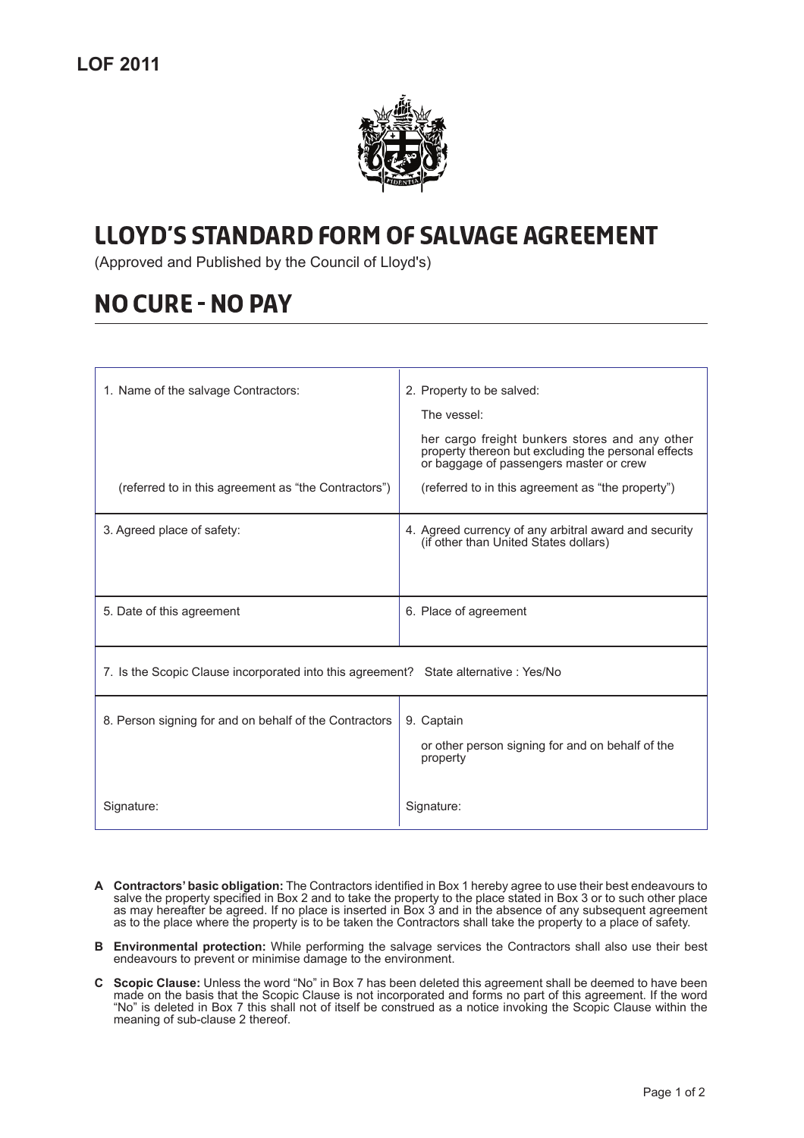

## -

(Approved and Published by the Council of Lloyd's)

## ---------------

| 1. Name of the salvage Contractors:<br>(referred to in this agreement as "the Contractors") | 2. Property to be salved:<br>The vessel:<br>her cargo freight bunkers stores and any other<br>property thereon but excluding the personal effects<br>or baggage of passengers master or crew<br>(referred to in this agreement as "the property") |
|---------------------------------------------------------------------------------------------|---------------------------------------------------------------------------------------------------------------------------------------------------------------------------------------------------------------------------------------------------|
| 3. Agreed place of safety:                                                                  | 4. Agreed currency of any arbitral award and security<br>(if other than United States dollars)                                                                                                                                                    |
|                                                                                             |                                                                                                                                                                                                                                                   |
| 5. Date of this agreement                                                                   | 6. Place of agreement                                                                                                                                                                                                                             |
| 7. Is the Scopic Clause incorporated into this agreement? State alternative : Yes/No        |                                                                                                                                                                                                                                                   |
| 8. Person signing for and on behalf of the Contractors                                      | 9. Captain<br>or other person signing for and on behalf of the<br>property                                                                                                                                                                        |
| Signature:                                                                                  | Signature:                                                                                                                                                                                                                                        |

- **A Contractors' basic obligation:** The Contractors identified in Box 1 hereby agree to use their best endeavours to salve the property specified in Box 2 and to take the property to the place stated in Box 3 or to such other place as may hereafter be agreed. If no place is inserted in Box 3 and in the absence of any subsequent agreement as to the place where the property is to be taken the Contractors shall take the property to a place of safety.
- **B Environmental protection:** While performing the salvage services the Contractors shall also use their best endeavours to prevent or minimise damage to the environment.
- **C Scopic Clause:** Unless the word "No" in Box 7 has been deleted this agreement shall be deemed to have been made on the basis that the Scopic Clause is not incorporated and forms no part of this agreement. If the word "No" is deleted in Box 7 this shall not of itself be construed as a notice invoking the Scopic Clause within the meaning of sub-clause 2 thereof.